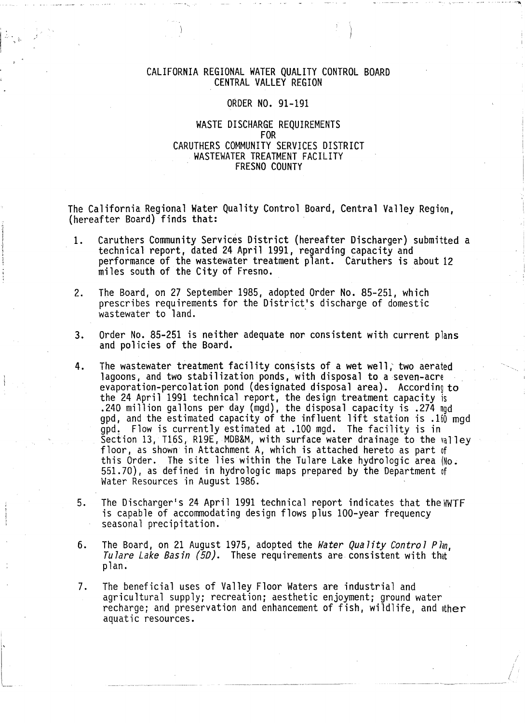## CALIFORNIA REGIONAL WATER QUALITY CONTROL BOARD CENTRAL VALLEY REGION

 $\sim$  -  $\sim$  - $\sim$ 

/

#### ORDER NO. 91-191

## WASTE DISCHARGE REQUIREMENTS FOR CARUTHERS COMMUNITY SERVICES DISTRICT WASTEWATER TREATMENT FACILITY FRESNO COUNTY

The California Regional Water Quality Control Board, Central Valley Region, (hereafter Board) finds that: ·

- 1. Caruthers Community Services District (hereafter Discharger) submitted a technical report, dated 24 April 1991, regarding capacity and performance of the wastewater treatment plant. Caruthers is about 12 miles south of the City of Fresno.
- 2. The Board, on 27 September 1985, adopted Order No. 85-251, which prescribes requirements for the District's discharge of domestic wastewater to land.
- 3. Order No. 85-251 is neither adequate nor consistent with current plans and policies of the Board.
- 4. The wastewater treatment facility consists of a wet well,' two aerated lagoons, and two stabilization ponds, with disposal to a seven-acre evaporation-percolation pond (designated disposal area). According to the 24 April 1991 technical report, the design treatment capacity is .240 million gallons per day (mgd), the disposal capacity is .274 mgd<br>gpd, and the estimated capacity of the influent lift station is .100 mgd  $\tilde{g}$ pd. Flow is currently estimated at .100 mgd. The facility is in Section 13, T16S, R19E, MDB&M, with surface water drainage to the  $a$ lley floor, as shown in Attachment A, which is attached hereto as part of this Order. The site lies within the Tulare Lake hydrologic area (No.  $551.70$ ), as defined in hydrologic maps prepared by the Department of Water Resources in August 1986.
- 5. The Discharger's 24 April 1991 technical report indicates that the WWTF is capable of accommodating design flows plus 100-year frequency seasonal precipitation.
- 6. The Board, on 21 August 1975, adopted the *Water Quality Control Plan, Tulare Lake Basin (5D).* These requirements are consistent with that plan.
- 7. The beneficial uses of Valley Floor Waters are industrial and agricultural supply; recreation; aesthetic enjoyment; ground water recharge; and preservation and enhancement of fish, wildlife, and ther aquatic resources.

i,

 $\begin{bmatrix} 1 & 1 \\ 1 & 1 \\ 1 & 1 \\ 1 & 1 \end{bmatrix}$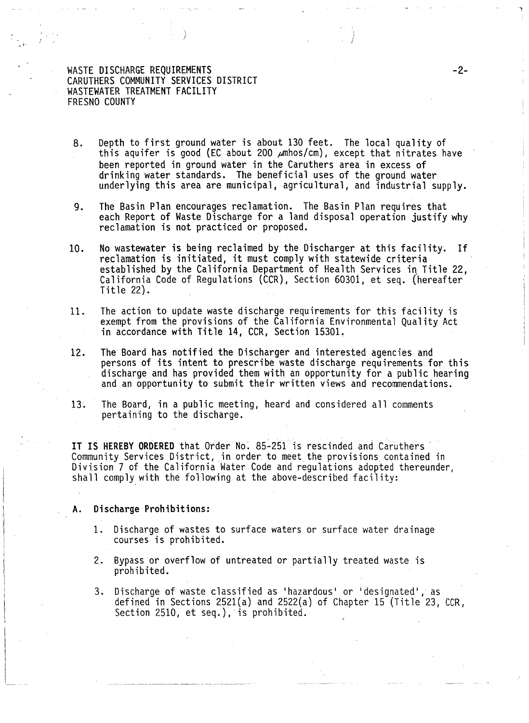8. Depth to first ground water is about 130 feet. The local quality of this aquifer is good (EC about 200  $\mu$ mhos/cm), except that nitrates have been reported in ground water in the Caruthers area in excess of drinking water standards. The beneficial uses of the ground water underlying this area are municipal, agricultural, and industrial supply.

I I

-2-

- 9. The Basin Plan encourages reclamation. The Basin Plan requires that each Report of Waste Discharge for a land disposal operation justify why reclamation is not practiced or proposed.
- 10. No wastewater is being reclaimed by the Discharger at this facility. If reclamation is initiated, it must comply with statewide criteria established by the California Department of Health Services in Title 22. California Code of Regulations (CCR), Section 60301, et seq. (hereafter Title 22).
- 11. The action to update waste discharge requirements for this facility is exempt from the provisions of the California Environmental Quality Act in accordance with Title 14, CCR, Section 15301.
- 12. The Board has notified the Discharger and interested agencies and persons of its intent to prescribe waste discharge requirements for this discharge and has provided them with an opportunity for a public hearing and an opportunity to submit their written views and recommendations.
- 13. The Board, in a public meeting, heard and considered all comments pertaining to the discharge.

IT IS HEREBY ORDERED that Order No. 85–251 is rescinded and Caruthers <sup>. .</sup><br>Community Services District, in order to meet the provisions contained in Division 7 of the California Water Code and regulations adopted thereunder, shall comply with the following at the above-described facility:

#### A. Discharge Prohibitions:

i  $\overline{\phantom{a}}$ 

~~---

, ....

- 1. Discharge of wastes to surface waters or surface water drainage courses is prohibited.
- 2. Bypass or overflow of untreated or partially treated waste is prohibited.
- 3. Discharge of waste classified as 'hazardous' or 'designated', as defined in Sections 2521(a) and 2522(a) of Chapter 15 (Title 23, CCR, Section 2510, et seq.), is prohibited.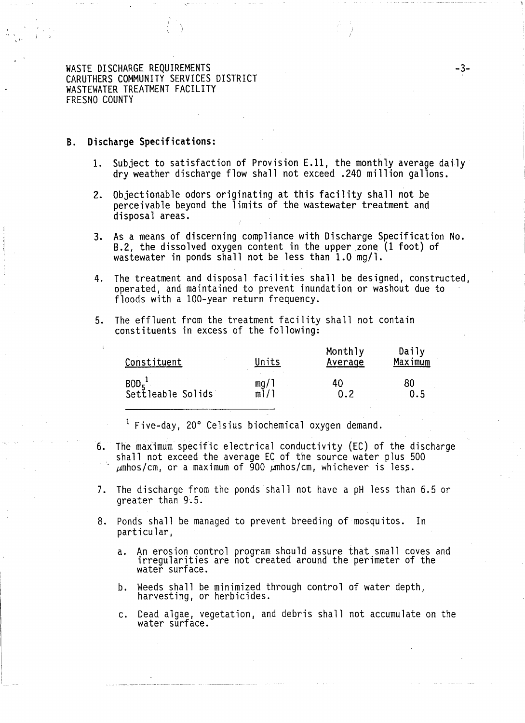#### **B. Discharge Specifications:**

 $,$ 

- 1. Subject to satisfaction of Provision E.11, the monthly average daily dry weather discharge flow shall not exceed .240 million gallons.
- 2. Objectionable odors originating at this facility shall not be perceivable beyond the limits of the wastewater treatment and disposal areas.
- 3. As a means of discerning compliance with Discharge Specification No. 8.2, the dissolved oxygen content in the upper zone (1 foot) of wastewater in ponds shall not be less than 1.0 mg/1.
- 4. The treatment and disposal facilities shall be designed, constructed, operated, and maintained to prevent inundation or washout due to floods with a 100-year return frequency.
- 5. The effluent from the treatment facility shall not contain constituents in excess of the following:

| Constituent                             | Units | Monthly<br>Average | Daily<br>Maximum |
|-----------------------------------------|-------|--------------------|------------------|
| $\mathtt{BOD_5}^1$<br>Settleable Solids | mg/1  | 40                 | 80               |
|                                         | m1/1  | 0.2                | 0.5              |

<sup>1</sup> Five-day, 20° Celsius biochemical oxygen demand.

- 6. The maXimum specific electrical conductivity (EC) of the discharge shall not exceed the average EC of the source water plus 500  $\mu$ mhos/cm, or a maximum of 900  $\mu$ mhos/cm, whichever is less.
- 7. The discharge from the ponds shall not have a pH less than 6.5 or greater than 9.5.
- 8. Ponds shall be managed to prevent breeding of mosquitos. In particular,
	- a. An erosion control program should assure that small coves and irregularities are not created around the perimeter of the water surface.
	- b. Weeds shall be minimized through control of water depth, harvesting, or herbicides.
	- c. Dead algae, vegetation, and debris shall not accumulate on the water surface.

-3-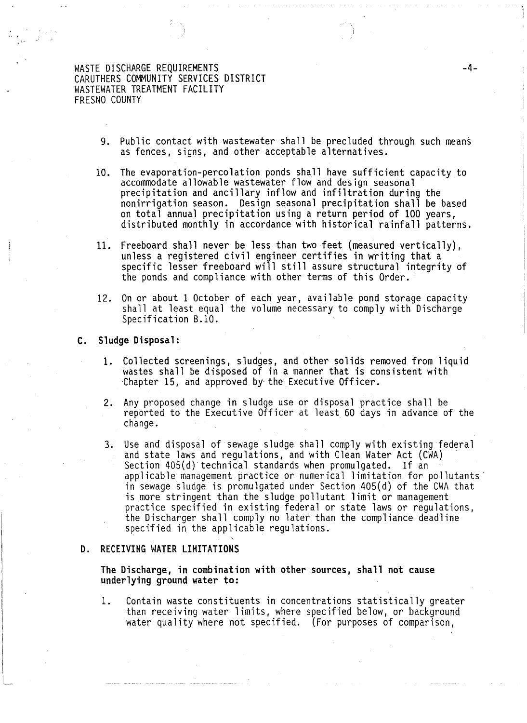,,1·

- 9. Public contact with wastewater shall be precluded through such means as fences, signs, and other acceptable alternatives.
- 10. The evaporation-percolation ponds shall have sufficient capacity to accommodate allowable wastewater flow and design seasonal precipitation and ancillary inflow and infiltration during the nonirrigation season. Design seasonal precipitation shall be based on total annual precipitation using a return period of 100 years, distributed monthly in accordance with historical rainfall patterns.
- 11. Freeboard shall never be less than two feet (measured vertically), unless a registered civil engineer certifies in writing that a specific lesser freeboard will still assure structural integrity of the ponds and compliance with other terms of this Order.
- 12. On or about 1 October of each year, available pond storage capacity shall at least equal the volume necessary to comply with Distharge Specification 8.10.

#### C. Sludge Disposal:

- 1. Collected screenings, sludges, and other solids removed from liquid wastes shall be disposed of in a manner that is consistent with Chapter 15, and approved by the Executive Officer.
- 2. Any proposed change in sludge use or disposal practice shall be reported to the Executive Officer at least 60 days in advance of the change.
- 3. Use and disposal of sewage sludge shall comply with existing federal<br>and state laws and regulations, and with Clean Water Act (CWA) Section 405(d) technical standards when promulgated. If an applicable management practice or numerical limitation for pollutants· in sewage sludge is promulgated under Section 405(d) of the CWA that is more stringent than the sludge pollutant limit or management practice specified in existing federal or state laws or regulations,<br>the Discharger shall comply no later than the compliance deadline specified in the applicable regulations.

#### D. RECEIVING WATER LIMITATIONS

The Discharge, in combination with other sources, shall not cause underlying ground water to:

~

1. Contain waste constituents in concentrations statistically greater than receiving water limits, where specified below, or background water quality where not specified. (For purposes of comparison,

-4-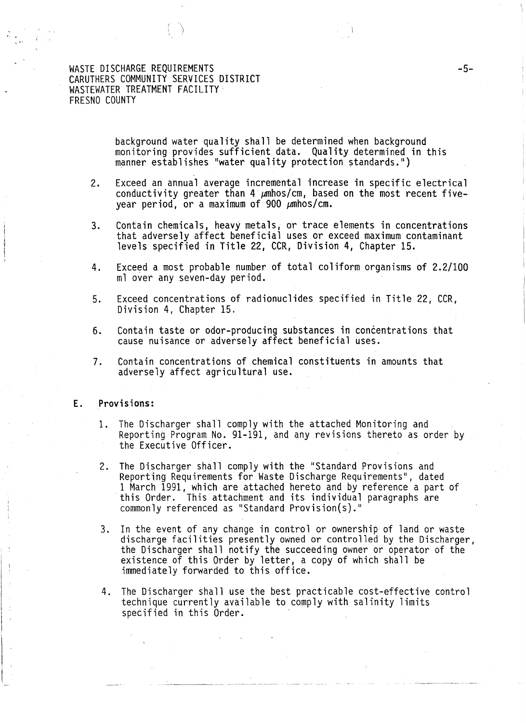'·. ,,1•

background water quality shall be determined when background monitoring provides sufficient data. Quality determined in this manner establishes "water quality protection standards.")

- 2. Exceed an annual average incremental increase in specific electrical conductivity greater than 4  $\mu$ mhos/cm, based on the most recent fivevear period, or a maximum of 900  $\mu$ mhos/cm.
- 3. Contain chemicals, heavy metals, or trace elements in concentrations that adversely affect beneficial uses or exceed maximum contaminant levels specified in Title 22, CCR, Division 4, Chapter 15.
- 4. Exceed a most probable number of total coliform organisms of 2.2/100 ml over any seven-day period.
- 5. Exceed concentrations of radionuclides specified in Title 22, CCR, Division 4, Chapter 15.
- 6. Contain taste or odor-producing substances in concentrations that cause nuisance or adversely affect beneficial uses.
- 7. Contain concentrations of chemical constituents in amounts that adversely affect agricultural use.

#### E. Provisions:

- 1. The Discharger shall comply with the attached Monitoring and Reporting Program No. 91-191, and any revisions thereto as order by the Executive Officer.
- 2. The Discharger shall comply with the "Standard Provisions and Reporting Requirements for Waste Discharge Requirements", dated 1 March 1991, which are attached hereto and by reference a part of this Order. This attachment and its individual paragraphs are commonly referenced as "Standard Provision(s)."
- 3. In the event of any change in control or ownership of land or waste discharge facilities presently owned or controlled by the Discharger, the Discharger shall notify the succeeding owner or operator of the existence of this Order by letter, a copy of which shall be immediately forwarded to this office.
- 4. The Discharger shall use the best practicable cost-effective control technique currently available to comply with salinity limits specified in this Order.

-5-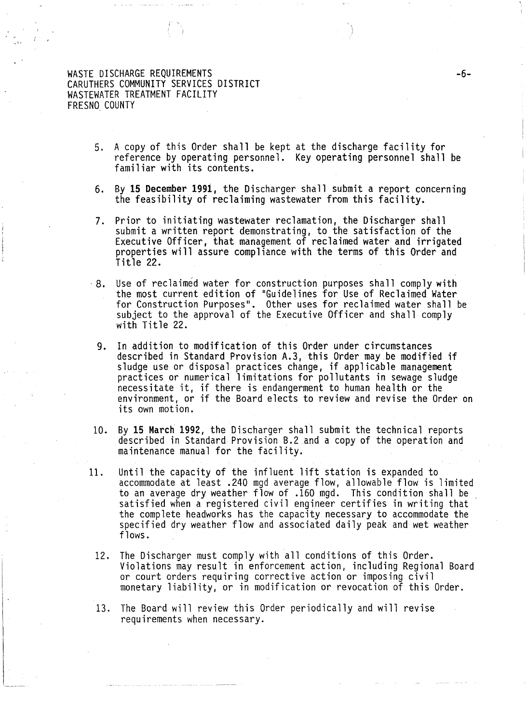$\mathbf{I}$ 

.. 1·

5. A copy of this Order shall be kept at the discharge facility for reference by operating personnel. Key operating personnel shall be familiar with its contents.

-6-

- 6. By 15 December 1991, the Discharger shall submit a report concerning the feasibility of reclaiming wastewater from this facility.
- 7. Prior to initiating wastewater reclamation, the Discharger shall submit a written report demonstrating, to the satisfaction of the Executive Officer, that management of reclaimed water and irrigated properties will assure compliance with the terms of this Order and Title 22.
- · 8. Use of reclaimed water for construction purposes shall comply with the most current edition of "Guidelines for Use of Reclaimed Water for Construction Purposes". Other uses for reclaimed water shall be subject to the approval of the Executive Officer and shall comply with Title 22.
	- 9. In addition to modification of this Order under circumstances described in Standard Provision A.3, this Order may be modified if sludge use or disposal practices change, if applicable management practices or numerical limitations for pollutants in sewage sludge necessitate it, if there is endangerment to human health or the environment, or if the Board elects to review and revise the Order on its own motion.
- 10. By 15 March 1992, the Discharger shall submit the technical reports described in Standard Provision B.2 and a copy of the operation and maintenance manual for the facility.
- 11. Until the capacity of the influent lift station is expanded to accommodate at least .240 mgd average flow, allowable flow is limited to an average dry weather flow of .160 mgd. This condition shall be satisfied when a registered civil engineer certifies in writing that the complete headworks has the capacity necessary to accommodate the specified dry weather flow and associated daily peak and wet weather flows.
	- 12. The Discharger must comply with all conditions of this Order. Violations may result in enforcement action, including Regional Board or court orders requiring corrective action or imposing civil monetary liability, or in modification or revocation of this Order.
	- 13. The Board will review this Order periodically and will revise requirements when necessary.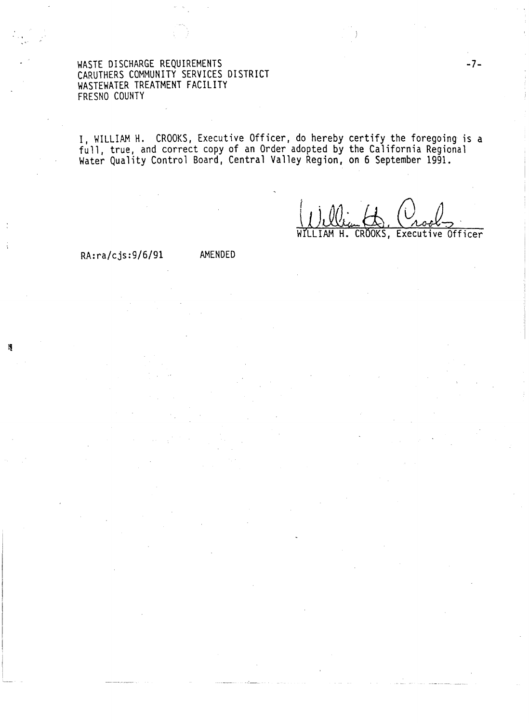I, WILLIAM H. CROOKS, Executive Officer, do hereby certify the foregoing is a full, true, and correct copy of an Order adopted by the California Regional Water Quality Control Board, Central Valley Region, on 6 September 1991.

(1) Ulian (Unoel)

WfLLIAM

# RA:ra/cjs:9/6/91 AMENDED

Ą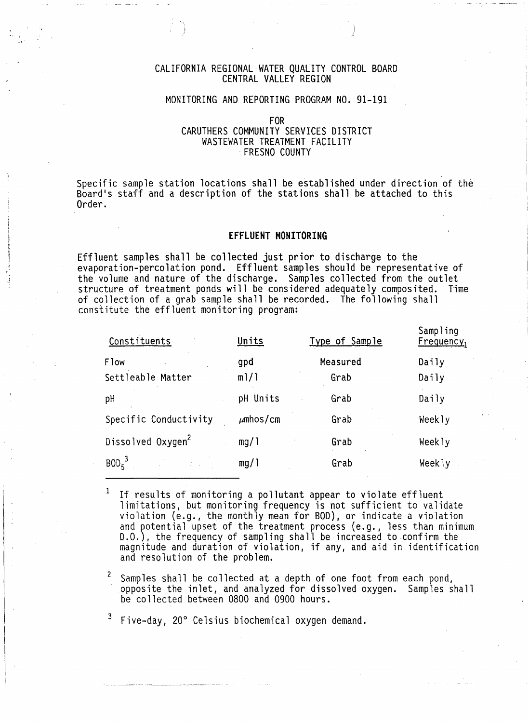## CALIFORNIA REGIONAL WATER QUALITY CONTROL BOARD CENTRAL VALLEY REGION

)

## MONITORING AND REPORTING PROGRAM NO. 91-191

FOR

# CARUTHERS COMMUNITY SERVICES DISTRICT WASTEWATER TREATMENT FACILITY · FRESNO COUNTY

Specific sample station locations shall be established under direction of the Board's staff and a description of the stations shall be attached to this Order.

#### **EFFLUENT MONITORING**

j I ! j

Effluent samples shall be collected just prior to discharge to the evaporation-percolation pond. Effluent samples should be representative of the volume and nature of the discharge. Samples collected from the outlet<br>structure of treatment ponds will be considered adequately composited. Time structure of treatment ponds will be considered adequately composited. of collection of a grab sample shall be recorded. The following shall constitute the effluent monitoring program:

| Constituents                     | Units         | Type of Sample   | Sampling<br>$F$ requency <sub>1</sub> |
|----------------------------------|---------------|------------------|---------------------------------------|
| <b>Flow</b><br>Settleable Matter | gpd<br>m1/1   | Measured<br>Grab | Daily<br>Daily                        |
| pH                               | pH Units      | Grab             | Daily                                 |
| Specific Conductivity            | $\mu$ mhos/cm | Grab             | Weekly                                |
| Dissolved Oxygen <sup>2</sup>    | mg/1          | Grab             | Weekly                                |
| $BOD5$ <sup>3</sup>              | mg/1          | Grab             | Weekly                                |

If results of monitoring a pollutant appear to violate effluent limitations, but monitoring frequency is not sufficient to validate violation (e.g., the monthly mean for BOD), or indicate a violation and potential upset of the treatment process (e.g., less than minimum D.O.), the frequency of sampling shall be increased to .confirm the magnitude and duration of violation, if any, and aid in identification and resolution of the problem.

<sup>2</sup> Samples shall be collected at a depth of one foot from each pond, opposite the inlet, and analyzed for dissolved oxygen. Samples shall be collected between 0800 and 0900 hours.

 $3$  Five-day, 20 $^{\circ}$  Celsius biochemical oxygen demand.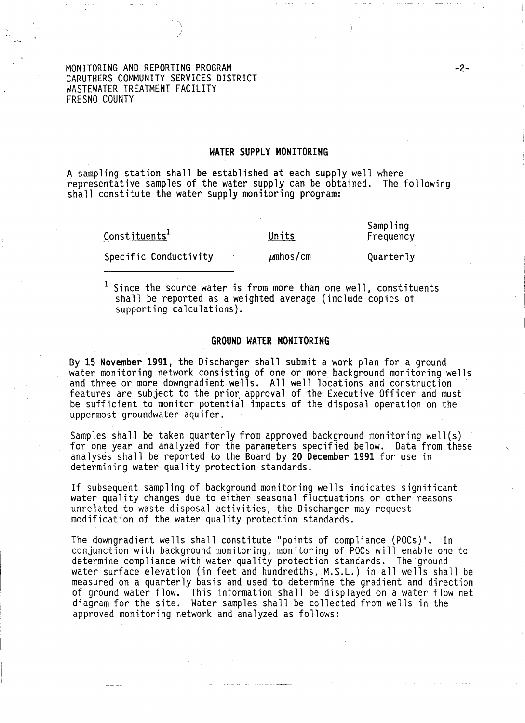## WATER SUPPLY MONITORING

A sampling station shall be established at each supply well where representative samples of the water supply can be obtained. The following shall constitute the water supply monitoring program:

Constituents<sup>1</sup>

Units

Sampling Frequency

Specific Conductivity

 $\mu$ mhos/cm

Quarterly

<sup>1</sup> Since the source water is from more than one well, constituents shall be reported as a weighted average (include copies of supporting calculations).

#### GROUND WATER MONITORING

By 15 November 1991, the Discharger shall submit a work plan for a ground water monitoring network consisting of one or more background monitoring wells and three or more downgradient wells. All well locations and construction features are subject to the prior approval of the Executive Officer and must be sufficient to monitor potential impacts of the disposal operatiqn on the uppermost groundwater aquifer.

Samples shall be taken quarterly from approved background monitoring well(s) for one year and analyzed for the parameters specified below. Data from these analyses shall be reported to the Board by 20 December 1991 for use in determining water quality protection standards.

If subsequent sampling of background monitoring wells indicates significant water quality changes due to either seasonal fluctuations or other reasons unrelated to waste disposal activities, the Discharger may request modification of the water quality protection standards.

The downgradient wells shall constitute "points of compliance (POCs)". In conjunction with background monitoring, monitoring of POCs will enable one to determine compliance with water quality protection standards. The'ground water surface elevation (in feet and hundredths, M.S.L.) in all wells shall be measured on a quarterly basis and used to determine the gradient and direction of ground water flow. This information shall be displayed on a water flow net diagram for the site. Water samples shall be collected from wells in the approved monitoring network and analyzed as follows: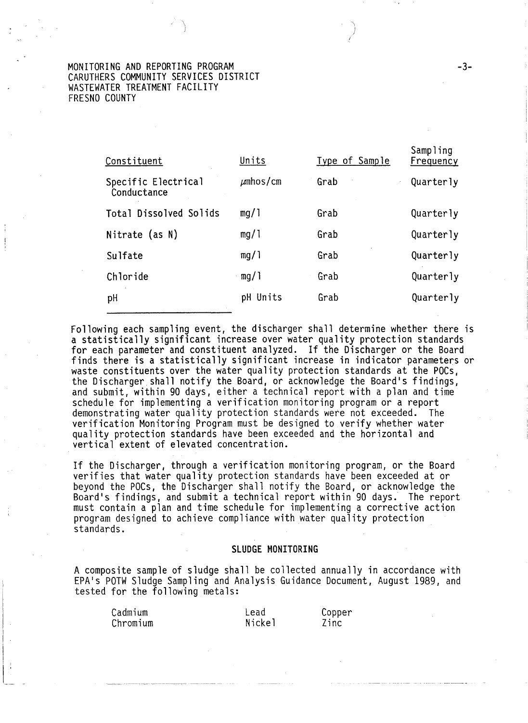| Constituent                        | Units         | Type of Sample | Sampling<br>Frequency |
|------------------------------------|---------------|----------------|-----------------------|
| Specific Electrical<br>Conductance | $\mu$ mhos/cm | Grab           | Quarterly             |
| Total Dissolved Solids             | mg/1          | Grab           | Quarterly             |
| Nitrate (as N)                     | mg/1          | Grab           | Quarterly             |
| Sulfate                            | mg/1          | Grab           | Quarterly             |
| Chloride                           | mg/1          | Grab           | Quarterly             |
| рH                                 | pH Units      | Grab           | Quarterly             |
|                                    |               |                |                       |

-\ )

Following each sampling event, the discharger shall determine whether there is a statistically significant increase over water quality protection standards for each parameter and constituent analyzed. If the Discharger or the Board finds there is a statistically significant increase in indicator parameters or waste constituents over the water quality protection standards at the POCs, the Discharger shall notify the Board, or acknowledge the Board's findings, and submit, within 90 days, either a technical report with a plan and time schedule for implementing a verification monitoring program or a report demonstrating water quality protection standards were not exceeded. The verification Monitoring Program must be designed to verify whether water quality protection standards have been exceeded and the horizontal and vertical extent of elevated concentration.

If the Discharger, through a verification monitoring program, or the Board verifies that water quality protection standards have been exceeded at or beyond the POCs, the Discharger shall notify the Board, or acknowledge the Board's findings, and submit a technical report within 90 days. The report must contain a plan and time schedule for implementing a corrective action program designed to achieve compliance with water quality protection standards.

#### SLUDGE MONITORING

A composite sample of sludge shall be collected annually in accordance with EPA's POTW Sludge Sampling and Analysis Guidance Document, August 1989, and tested for the following metals:

| Cadmium  | Lead          | Copper |
|----------|---------------|--------|
| Chromium | <b>Nickel</b> | Zinc   |

-3-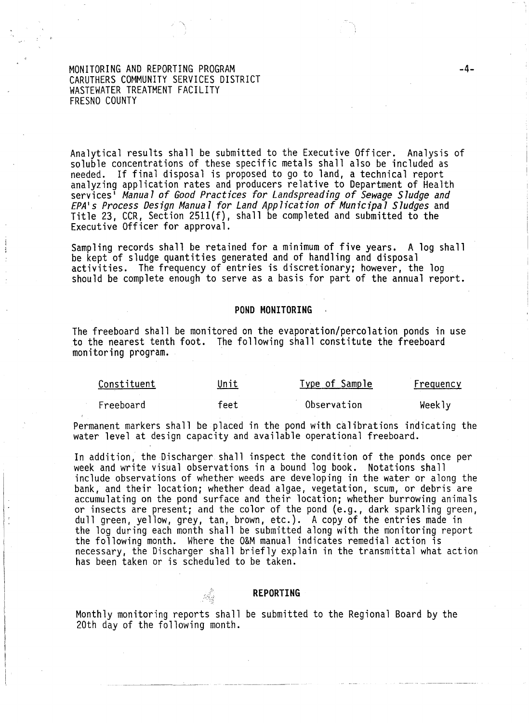Analytical results shall be submitted to the Executive Officer. Analysis of soluble concentrations of these specific metals shall also be included as needed. If final disposal is proposed to go to land, a technical report<br>analyzing application rates and producers relative to Department of Health services • *Manua 1 of Good Practices for Landspreading of Sewage Sludge and EPA's Process Design Manual for Land Application of Municipal Sludges* and Title 23, CCR, Section 2511(f), shall be completed and submitted to the Executive Officer for approval.

Sampling records shall be retained for a minimum of five years. A log shall<br>be kept of sludge quantities generated and of handling and disposal activities. The frequency of entries is discretionary; however, the log<br>should be complete enough to serve as a basis for part of the annual report.

#### **POND MONITORING**

The freeboard shall be monitored on the evaporation/percolation ponds in use to the nearest tenth foot. The following shall constitute the freeboard monitoring program.

| Constituent | Unit | <u>Type of Sample</u> | Frequency |
|-------------|------|-----------------------|-----------|
| Freeboard   | feet | Observation           | Weekly    |

Permanent markers shall be placed in the pond with calibrations indicating the water level at design capacity and available operational freeboard.

In addition, the Discharger shall inspect the condition of the ponds once per week and write visual observations in a bound log book. Notations shall include observations of whether weeds are developing in the water or along the bank, and their location; whether dead algae, vegetation, scum, or debris are accumulating on the pond surface and their location; whether burrowing animals<br>or insects are present; and the color of the pond (e.g., dark sparkling green, dull green, yellow, grey, tan, brown, etc.). A copy of the entries made in the log during each month shall be submitted along with the monitoring report the following month. Where the O&M manual indicates remedial action is necessary, the Discharger shall briefly explain in the transmittal what action has been taken or is scheduled to be taken.

#### **REPORTING**

Monthly monitoring reports shall be submitted to the Regional Board by the 20th day of the following month.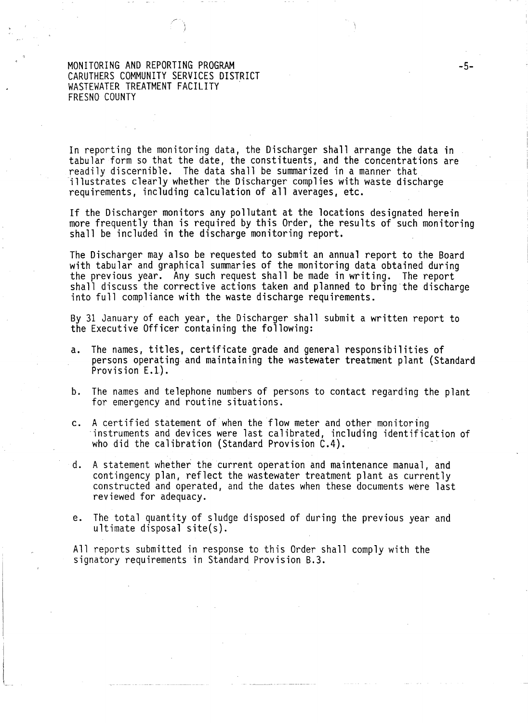-~ \ I

In reporting the monitoring data, the Discharger shall arrange the data in tabular form so that the date, the constituents, and the concentrations are readily discernible. The data shall be summarized in a manner that illustrates clearly whether the Discharger complies with waste discharge requirements, including calculation of all averages, etc.

If the Discharger monitors any pollutant at the locations designated herein more frequently than is required by this Order, the results of such monitoring shall be included in the discharge monitoring report.

The Discharger may also be requested to submit an annual report to the Board with tabular and graphical summaries of the monitoring data obtained during the previous year. Any such request shall be made in writing. The report<br>shall discuss the corrective actions taken and planned to bring-the discharge<br>into full compliance with the waste discharge requirements.

By 31 January of each year, the Discharger shall submit a written report to the Executive Officer containing the following:

- a. The names, titles, certificate grade and general responsibilities of persons operating and maintaining the wastewater treatment plant (Standard Provision E.l).
- b. The names and telephone numbers of persons to contact regarding the plant for emergency and routine situations.
- c. A certified statement of when the flow meter and other monitoring<br>instruments and devices were last calibrated, including identification of who did the calibration (Standard Provision  $C.4$ ).
- d. A statement whether the current operation and maintenance manual, and contingency plan, reflect the wastewater treatment plant as currently constructed and operated, and the dates when these documents were last reviewed for adequacy.
- e. The total quantity of sludge disposed of during the previous year and ultimate disposal site(s).

All reports submitted in response to this Order shall comply with the signatory requirements in Standard Provision 8.3.

-5-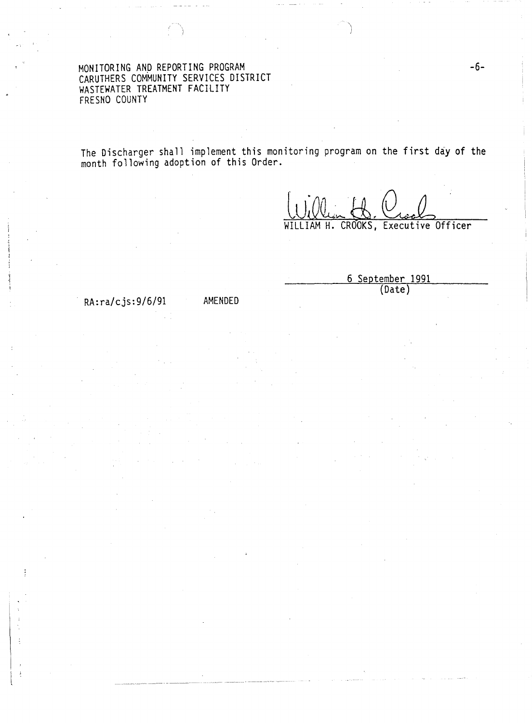The Discharger shall implement this monitoring program on the first day of the month following adoption of this Order.

IAM H. CROOKS, Executive Officer

6 September 1991 (Date)

RA:ra/cjs:9/6/91 AMENDED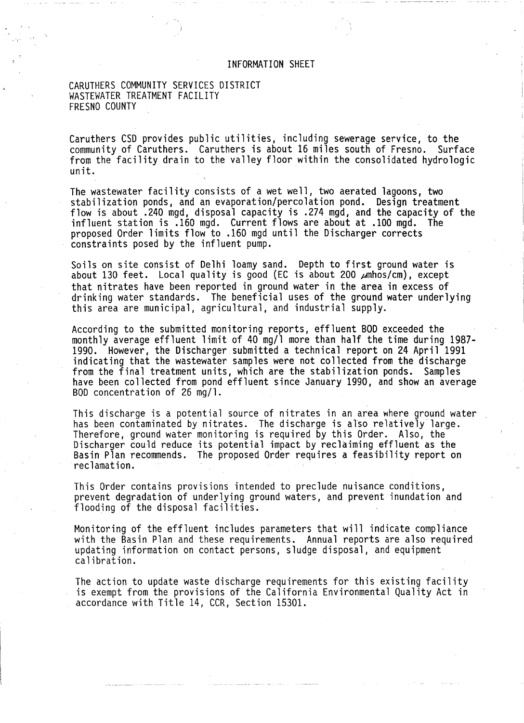# INFORMATION SHEET

CARUTHERS COMMUNITY SERVICES DISTRICT WASTEWATER TREATMENT FACILITY FRESNO COUNTY

Caruthers CSD provides public utilities, including sewerage service, to the community of Caruthers. Caruthers is about 16 miles south of Fresno. Surface from the facility drain to the valley floor within the consolidated hydrologic<br>unit.

The wastewater facility consists of a wet well, two aerated lagoons, two stabilization ponds, and an evaporation/percolation pond. Design treatment flow is about .240 mgd, disposal capacity is .274 mgd, and the capacity of the influent station is .160 mgd. Current flows are about at .100 mgd. The proposed Order limits flow to .160 mgd until the Discharger corrects constraints posed by the influent pump.

Soils on site consist of Delhi loamy sand. Depth to first ground water is about 130 feet. Local quality is good (EC is about 200  $\mu$ mhos/cm), except that nitrates have been reported in ground water in the area in excess of drinking water standards. The beneficial uses of the ground water underlying this area are municipal, agricultural, and industrial supply.

According to the submitted monitoring reports, effluent BOD exceeded the monthly average effluent limit of 40 mg/1 more than half the time during 1987- 1990. However, the Discharger submitted a technical report on 24 April 1991 indicating that the wastewater samples were not collected from the discharge from the final treatment units, which are the stabilization ponds. Samples<br>have been collected from pond effluent since January 1990, and show an average<br>BOD concentration of 26 mg/l.

This discharge is a potential source of nitrates in an area where ground water has been contaminated by nitrates. The discharge is also relatively large. Therefore, ground water monitoring is required by this Order. Also, the Discharger could reduce its potential impact by reclaiming effluent as the Basin Plan recommends. The proposed Order requires a feasibility report on reclamation.

This Order contains provisions intended to preclude nuisance conditions, prevent degradation of underlying ground waters, and prevent inundation and flooding of the disposal facilities.

Monitoring of the effluent includes parameters that will indicate compliance updating information on contact persons, sludge disposal, and equipment calibration.

The action to update waste discharge requirements for this existing facility is exempt from the provisions of the California Environmental Quality Act in accordance with Title 14, CCR, Section 15301.